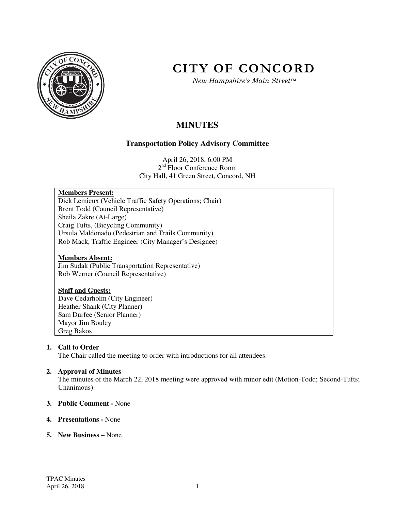

# **CITY OF CONCORD**

*New Hampshire's Main Street™*

# **MINUTES**

# **Transportation Policy Advisory Committee**

April 26, 2018, 6:00 PM 2<sup>nd</sup> Floor Conference Room City Hall, 41 Green Street, Concord, NH

# **Members Present:**

Dick Lemieux (Vehicle Traffic Safety Operations; Chair) Brent Todd (Council Representative) Sheila Zakre (At-Large) Craig Tufts, (Bicycling Community) Ursula Maldonado (Pedestrian and Trails Community) Rob Mack, Traffic Engineer (City Manager's Designee)

# **Members Absent:**

Jim Sudak (Public Transportation Representative) Rob Werner (Council Representative)

# **Staff and Guests:**

Dave Cedarholm (City Engineer) Heather Shank (City Planner) Sam Durfee (Senior Planner) Mayor Jim Bouley Greg Bakos

# **1. Call to Order**

The Chair called the meeting to order with introductions for all attendees.

# **2. Approval of Minutes**

The minutes of the March 22, 2018 meeting were approved with minor edit (Motion-Todd; Second-Tufts; Unanimous).

# **3. Public Comment -** None

# **4. Presentations -** None

# **5. New Business –** None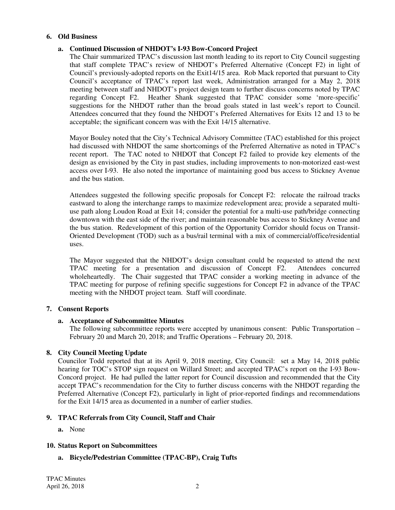# **6. Old Business**

# **a. Continued Discussion of NHDOT's I-93 Bow-Concord Project**

The Chair summarized TPAC's discussion last month leading to its report to City Council suggesting that staff complete TPAC's review of NHDOT's Preferred Alternative (Concept F2) in light of Council's previously-adopted reports on the Exit14/15 area. Rob Mack reported that pursuant to City Council's acceptance of TPAC's report last week, Administration arranged for a May 2, 2018 meeting between staff and NHDOT's project design team to further discuss concerns noted by TPAC regarding Concept F2. Heather Shank suggested that TPAC consider some 'more-specific' suggestions for the NHDOT rather than the broad goals stated in last week's report to Council. Attendees concurred that they found the NHDOT's Preferred Alternatives for Exits 12 and 13 to be acceptable; the significant concern was with the Exit 14/15 alternative.

Mayor Bouley noted that the City's Technical Advisory Committee (TAC) established for this project had discussed with NHDOT the same shortcomings of the Preferred Alternative as noted in TPAC's recent report. The TAC noted to NHDOT that Concept F2 failed to provide key elements of the design as envisioned by the City in past studies, including improvements to non-motorized east-west access over I-93. He also noted the importance of maintaining good bus access to Stickney Avenue and the bus station.

Attendees suggested the following specific proposals for Concept F2: relocate the railroad tracks eastward to along the interchange ramps to maximize redevelopment area; provide a separated multiuse path along Loudon Road at Exit 14; consider the potential for a multi-use path/bridge connecting downtown with the east side of the river; and maintain reasonable bus access to Stickney Avenue and the bus station. Redevelopment of this portion of the Opportunity Corridor should focus on Transit-Oriented Development (TOD) such as a bus/rail terminal with a mix of commercial/office/residential uses.

The Mayor suggested that the NHDOT's design consultant could be requested to attend the next TPAC meeting for a presentation and discussion of Concept F2. Attendees concurred wholeheartedly. The Chair suggested that TPAC consider a working meeting in advance of the TPAC meeting for purpose of refining specific suggestions for Concept F2 in advance of the TPAC meeting with the NHDOT project team. Staff will coordinate.

# **7. Consent Reports**

# **a. Acceptance of Subcommittee Minutes**

The following subcommittee reports were accepted by unanimous consent: Public Transportation – February 20 and March 20, 2018; and Traffic Operations – February 20, 2018.

# **8. City Council Meeting Update**

Councilor Todd reported that at its April 9, 2018 meeting, City Council: set a May 14, 2018 public hearing for TOC's STOP sign request on Willard Street; and accepted TPAC's report on the I-93 Bow-Concord project. He had pulled the latter report for Council discussion and recommended that the City accept TPAC's recommendation for the City to further discuss concerns with the NHDOT regarding the Preferred Alternative (Concept F2), particularly in light of prior-reported findings and recommendations for the Exit 14/15 area as documented in a number of earlier studies.

# **9. TPAC Referrals from City Council, Staff and Chair**

**a.** None

# **10. Status Report on Subcommittees**

# **a. Bicycle/Pedestrian Committee (TPAC-BP), Craig Tufts**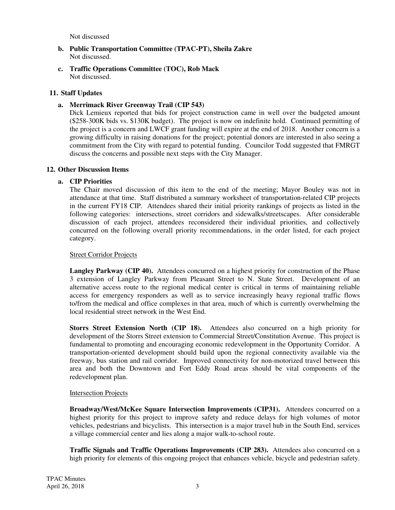Not discussed

- **b. Public Transportation Committee (TPAC-PT), Sheila Zakre**  Not discussed.
- **c. Traffic Operations Committee (TOC), Rob Mack**  Not discussed.

# **11. Staff Updates**

# **a. Merrimack River Greenway Trail (CIP 543)**

Dick Lemieux reported that bids for project construction came in well over the budgeted amount (\$258-300K bids vs. \$130K budget). The project is now on indefinite hold. Continued permitting of the project is a concern and LWCF grant funding will expire at the end of 2018. Another concern is a growing difficulty in raising donations for the project; potential donors are interested in also seeing a commitment from the City with regard to potential funding. Councilor Todd suggested that FMRGT discuss the concerns and possible next steps with the City Manager.

# **12. Other Discussion Items**

# **a. CIP Priorities**

The Chair moved discussion of this item to the end of the meeting; Mayor Bouley was not in attendance at that time. Staff distributed a summary worksheet of transportation-related CIP projects in the current FY18 CIP. Attendees shared their initial priority rankings of projects as listed in the following categories: intersections, street corridors and sidewalks/streetscapes. After considerable discussion of each project, attendees reconsidered their individual priorities, and collectively concurred on the following overall priority recommendations, in the order listed, for each project category.

# Street Corridor Projects

Langley Parkway (CIP 40). Attendees concurred on a highest priority for construction of the Phase 3 extension of Langley Parkway from Pleasant Street to N. State Street. Development of an alternative access route to the regional medical center is critical in terms of maintaining reliable access for emergency responders as well as to service increasingly heavy regional traffic flows to/from the medical and office complexes in that area, much of which is currently overwhelming the local residential street network in the West End.

**Storrs Street Extension North (CIP 18).** Attendees also concurred on a high priority for development of the Storrs Street extension to Commercial Street/Constitution Avenue. This project is fundamental to promoting and encouraging economic redevelopment in the Opportunity Corridor. A transportation-oriented development should build upon the regional connectivity available via the freeway, bus station and rail corridor. Improved connectivity for non-motorized travel between this area and both the Downtown and Fort Eddy Road areas should be vital components of the redevelopment plan.

# Intersection Projects

**Broadway/West/McKee Square Intersection Improvements (CIP31).** Attendees concurred on a highest priority for this project to improve safety and reduce delays for high volumes of motor vehicles, pedestrians and bicyclists. This intersection is a major travel hub in the South End, services a village commercial center and lies along a major walk-to-school route.

**Traffic Signals and Traffic Operations Improvements (CIP 283).** Attendees also concurred on a high priority for elements of this ongoing project that enhances vehicle, bicycle and pedestrian safety.